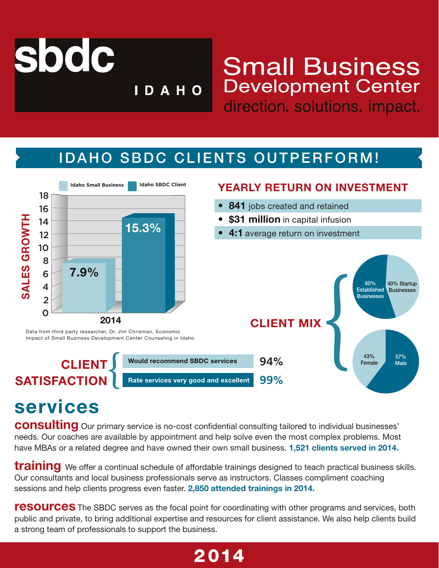

s

## **Small Business Development Center** direction. solutions. impact.

s

### IDAHO SBDC CLIENTS OUTPERFORM!

**IDAHO** 



# **services**

**consulting** Our primary service is no-cost confidential consulting tailored to individual businesses' needs. Our coaches are available by appointment and help solve even the most complex problems. Most have MBAs or a related degree and have owned their own small business. **1,521 clients served in 2014.**

**training** We offer a continual schedule of affordable trainings designed to teach practical business skills. Our consultants and local business professionals serve as instructors. Classes compliment coaching sessions and help clients progress even faster. **2,850 attended trainings in 2014.**

**resources** The SBDC serves as the focal point for coordinating with other programs and services, both public and private, to bring additional expertise and resources for client assistance. We also help clients build a strong team of professionals to support the business.

### 2014